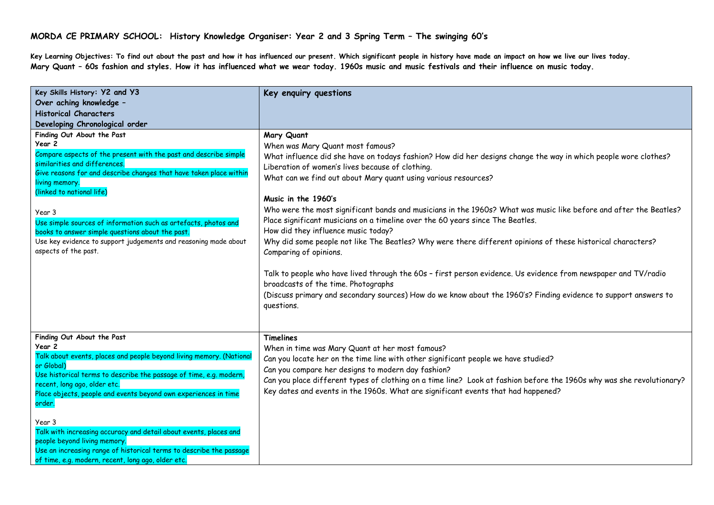**Key Learning Objectives: To find out about the past and how it has influenced our present. Which significant people in history have made an impact on how we live our lives today. Mary Quant – 60s fashion and styles. How it has influenced what we wear today. 1960s music and music festivals and their influence on music today.**

| Key Skills History: Y2 and Y3<br>Over aching knowledge -<br><b>Historical Characters</b>                                                                                                                                                                                                                                                                                                                                                                                                                                                                  | Key enquiry questions                                                                                                                                                                                                                                                                                                                                                                                                                                                                                                                                                                                                                                                                                                                                                                                                                                                                                                                                                                           |
|-----------------------------------------------------------------------------------------------------------------------------------------------------------------------------------------------------------------------------------------------------------------------------------------------------------------------------------------------------------------------------------------------------------------------------------------------------------------------------------------------------------------------------------------------------------|-------------------------------------------------------------------------------------------------------------------------------------------------------------------------------------------------------------------------------------------------------------------------------------------------------------------------------------------------------------------------------------------------------------------------------------------------------------------------------------------------------------------------------------------------------------------------------------------------------------------------------------------------------------------------------------------------------------------------------------------------------------------------------------------------------------------------------------------------------------------------------------------------------------------------------------------------------------------------------------------------|
| Developing Chronological order                                                                                                                                                                                                                                                                                                                                                                                                                                                                                                                            |                                                                                                                                                                                                                                                                                                                                                                                                                                                                                                                                                                                                                                                                                                                                                                                                                                                                                                                                                                                                 |
| Finding Out About the Past<br>Year 2<br>Compare aspects of the present with the past and describe simple<br>similarities and differences.<br>Give reasons for and describe changes that have taken place within<br>living memory.<br>(linked to national life)<br>Year 3<br>Use simple sources of information such as artefacts, photos and<br>books to answer simple questions about the past.<br>Use key evidence to support judgements and reasoning made about<br>aspects of the past.                                                                | Mary Quant<br>When was Mary Quant most famous?<br>What influence did she have on todays fashion? How did her designs change the way in which people wore clothes?<br>Liberation of women's lives because of clothing.<br>What can we find out about Mary quant using various resources?<br>Music in the 1960's<br>Who were the most significant bands and musicians in the 1960s? What was music like before and after the Beatles?<br>Place significant musicians on a timeline over the 60 years since The Beatles.<br>How did they influence music today?<br>Why did some people not like The Beatles? Why were there different opinions of these historical characters?<br>Comparing of opinions.<br>Talk to people who have lived through the 60s - first person evidence. Us evidence from newspaper and TV/radio<br>broadcasts of the time. Photographs<br>(Discuss primary and secondary sources) How do we know about the 1960's? Finding evidence to support answers to<br>questions. |
| Finding Out About the Past<br>Year 2<br>Talk about events, places and people beyond living memory. (National<br>or Global)<br>Use historical terms to describe the passage of time, e.g. modern,<br>recent, long ago, older etc.<br>Place objects, people and events beyond own experiences in time<br>order.<br>Year 3<br>Talk with increasing accuracy and detail about events, places and<br>people beyond living memory.<br>Use an increasing range of historical terms to describe the passage<br>of time, e.g. modern, recent, long ago, older etc. | <b>Timelines</b><br>When in time was Mary Quant at her most famous?<br>Can you locate her on the time line with other significant people we have studied?<br>Can you compare her designs to modern day fashion?<br>Can you place different types of clothing on a time line? Look at fashion before the 1960s why was she revolutionary?<br>Key dates and events in the 1960s. What are significant events that had happened?                                                                                                                                                                                                                                                                                                                                                                                                                                                                                                                                                                   |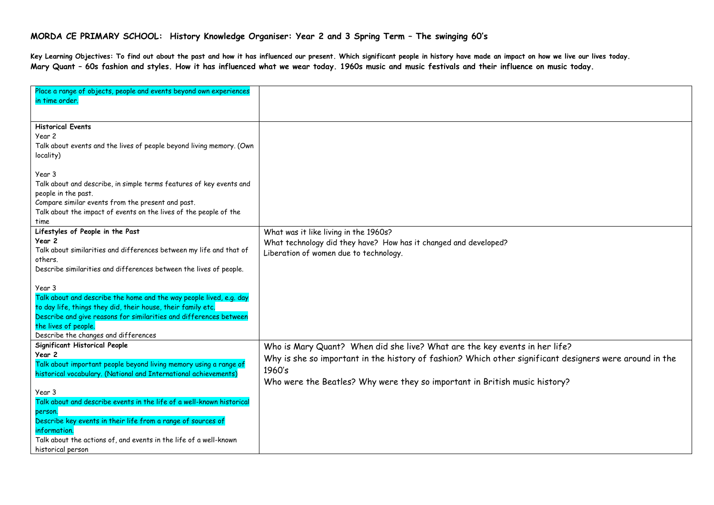**Key Learning Objectives: To find out about the past and how it has influenced our present. Which significant people in history have made an impact on how we live our lives today. Mary Quant – 60s fashion and styles. How it has influenced what we wear today. 1960s music and music festivals and their influence on music today.**

| Place a range of objects, people and events beyond own experiences<br>in time order. |                                                                                                         |
|--------------------------------------------------------------------------------------|---------------------------------------------------------------------------------------------------------|
|                                                                                      |                                                                                                         |
| <b>Historical Events</b>                                                             |                                                                                                         |
| Year 2                                                                               |                                                                                                         |
| Talk about events and the lives of people beyond living memory. (Own                 |                                                                                                         |
| locality)                                                                            |                                                                                                         |
|                                                                                      |                                                                                                         |
| Year 3                                                                               |                                                                                                         |
| Talk about and describe, in simple terms features of key events and                  |                                                                                                         |
| people in the past.                                                                  |                                                                                                         |
| Compare similar events from the present and past.                                    |                                                                                                         |
| Talk about the impact of events on the lives of the people of the                    |                                                                                                         |
| time                                                                                 |                                                                                                         |
| Lifestyles of People in the Past                                                     | What was it like living in the 1960s?                                                                   |
| Year 2                                                                               | What technology did they have? How has it changed and developed?                                        |
| Talk about similarities and differences between my life and that of                  | Liberation of women due to technology.                                                                  |
| others.                                                                              |                                                                                                         |
| Describe similarities and differences between the lives of people.                   |                                                                                                         |
|                                                                                      |                                                                                                         |
| Year 3                                                                               |                                                                                                         |
| Talk about and describe the home and the way people lived, e.g. day                  |                                                                                                         |
| to day life, things they did, their house, their family etc.                         |                                                                                                         |
| Describe and give reasons for similarities and differences between                   |                                                                                                         |
| the lives of people.                                                                 |                                                                                                         |
| Describe the changes and differences                                                 |                                                                                                         |
| Significant Historical People                                                        | Who is Mary Quant? When did she live? What are the key events in her life?                              |
| Year 2                                                                               | Why is she so important in the history of fashion? Which other significant designers were around in the |
| Talk about important people beyond living memory using a range of                    | 1960's                                                                                                  |
| historical vocabulary. (National and International achievements)                     |                                                                                                         |
|                                                                                      | Who were the Beatles? Why were they so important in British music history?                              |
| Year 3                                                                               |                                                                                                         |
| Talk about and describe events in the life of a well-known historical                |                                                                                                         |
| person.                                                                              |                                                                                                         |
| Describe key events in their life from a range of sources of                         |                                                                                                         |
| information.                                                                         |                                                                                                         |
| Talk about the actions of, and events in the life of a well-known                    |                                                                                                         |
| historical person                                                                    |                                                                                                         |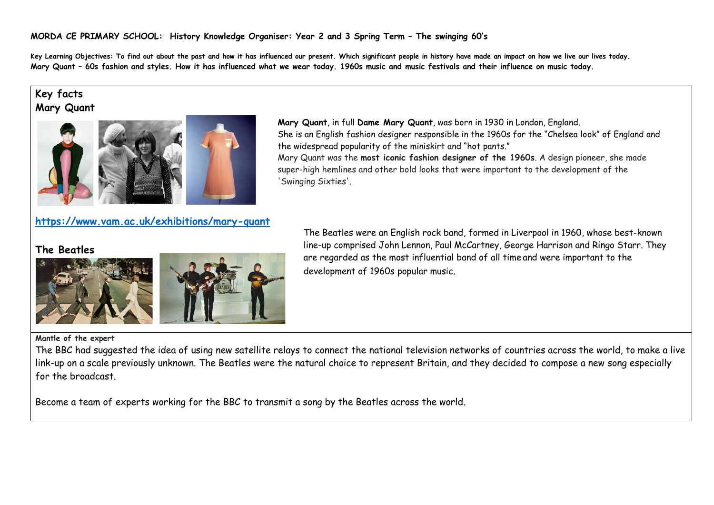**Key Learning Objectives: To find out about the past and how it has influenced our present. Which significant people in history have made an impact on how we live our lives today. Mary Quant – 60s fashion and styles. How it has influenced what we wear today. 1960s music and music festivals and their influence on music today.**

'Swinging Sixties'.

# **Key facts Mary Quant**



## **<https://www.vam.ac.uk/exhibitions/mary-quant>**

**The Beatles**





The Beatles were an English [rock](https://en.wikipedia.org/wiki/Rock_music) band, formed in [Liverpool](https://en.wikipedia.org/wiki/Liverpool) in 1960, whose best-known line-up comprised [John Lennon,](https://en.wikipedia.org/wiki/John_Lennon) [Paul McCartney,](https://en.wikipedia.org/wiki/Paul_McCartney) [George Harrison](https://en.wikipedia.org/wiki/George_Harrison) and [Ringo Starr.](https://en.wikipedia.org/wiki/Ringo_Starr) They are regarded as the [most influential band of all time](https://en.wikipedia.org/wiki/Cultural_impact_of_the_Beatles) and were important to the development of [1960s](https://en.wikipedia.org/wiki/Counterculture_of_the_1960s) [popular music](https://en.wikipedia.org/wiki/Popular_music).

She is an English [fashion](https://www.britannica.com/topic/fashion-society) designer responsible in the 1960s for the "Chelsea look" of [England](https://www.britannica.com/place/England) and

Mary Quant was the **most iconic fashion designer of the 1960s**. A design pioneer, she made super-high hemlines and other bold looks that were important to the development of the

**Mary Quant**, in full **Dame Mary Quant**, was born in 1930 in London, England.

the widespread popularity of the [miniskirt](https://www.britannica.com/topic/miniskirt) and "hot pants."

#### **Mantle of the expert**

The BBC had suggested the idea of using new satellite relays to connect the national television networks of countries across the world, to make a live link-up on a scale previously unknown. The Beatles were the natural choice to represent Britain, and they decided to compose a new song especially for the broadcast.

Become a team of experts working for the BBC to transmit a song by the Beatles across the world.